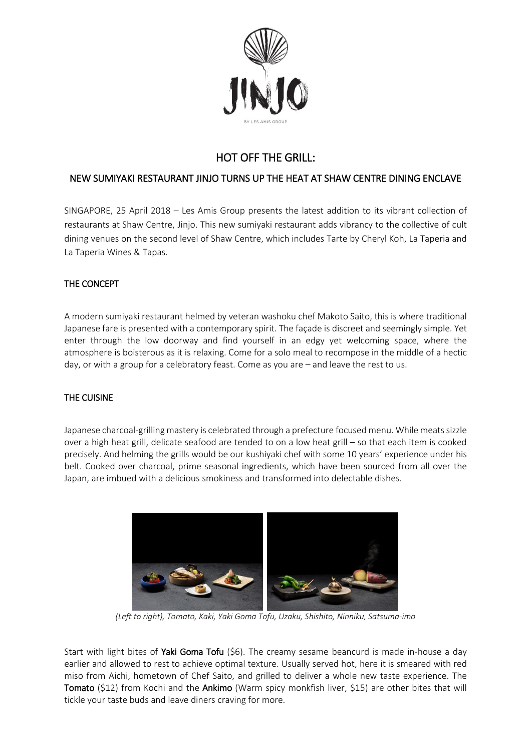

# HOT OFF THE GRILL:

# NEW SUMIYAKI RESTAURANT JINJO TURNS UP THE HEAT AT SHAW CENTRE DINING ENCLAVE

SINGAPORE, 25 April 2018 – Les Amis Group presents the latest addition to its vibrant collection of restaurants at Shaw Centre, Jinjo. This new sumiyaki restaurant adds vibrancy to the collective of cult dining venues on the second level of Shaw Centre, which includes Tarte by Cheryl Koh, La Taperia and La Taperia Wines & Tapas.

# THE CONCEPT

A modern sumiyaki restaurant helmed by veteran washoku chef Makoto Saito, this is where traditional Japanese fare is presented with a contemporary spirit. The façade is discreet and seemingly simple. Yet enter through the low doorway and find yourself in an edgy yet welcoming space, where the atmosphere is boisterous as it is relaxing. Come for a solo meal to recompose in the middle of a hectic day, or with a group for a celebratory feast. Come as you are – and leave the rest to us.

## THE CUISINE

Japanese charcoal-grilling mastery is celebrated through a prefecture focused menu. While meats sizzle over a high heat grill, delicate seafood are tended to on a low heat grill – so that each item is cooked precisely. And helming the grills would be our kushiyaki chef with some 10 years' experience under his belt. Cooked over charcoal, prime seasonal ingredients, which have been sourced from all over the Japan, are imbued with a delicious smokiness and transformed into delectable dishes.



*(Left to right), Tomato, Kaki, Yaki Goma Tofu, Uzaku, Shishito, Ninniku, Satsuma-imo*

Start with light bites of Yaki Goma Tofu (\$6). The creamy sesame beancurd is made in-house a day earlier and allowed to rest to achieve optimal texture. Usually served hot, here it is smeared with red miso from Aichi, hometown of Chef Saito, and grilled to deliver a whole new taste experience. The Tomato (\$12) from Kochi and the Ankimo (Warm spicy monkfish liver, \$15) are other bites that will tickle your taste buds and leave diners craving for more.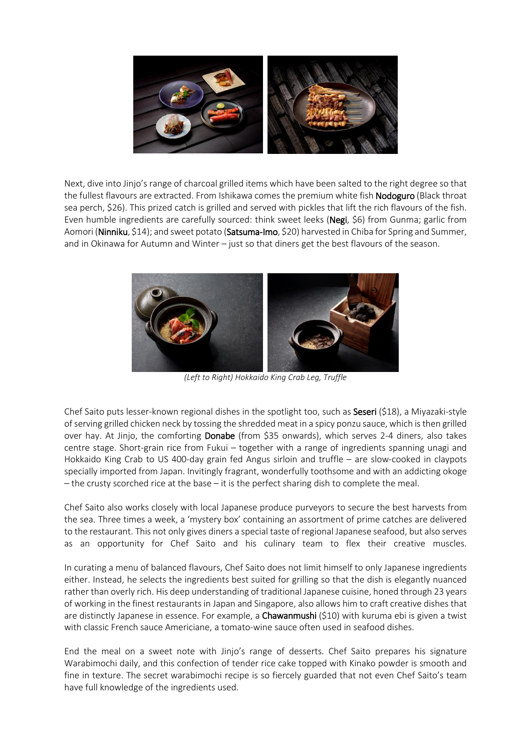

Next, dive into Jinjo's range of charcoal grilled items which have been salted to the right degree so that the fullest flavours are extracted. From Ishikawa comes the premium white fish Nodoguro (Black throat sea perch, \$26). This prized catch is grilled and served with pickles that lift the rich flavours of the fish. Even humble ingredients are carefully sourced: think sweet leeks (Negi, \$6) from Gunma; garlic from Aomori (Ninniku, \$14); and sweet potato (Satsuma-Imo, \$20) harvested in Chiba for Spring and Summer, and in Okinawa for Autumn and Winter – just so that diners get the best flavours of the season.



*(Left to Right) Hokkaido King Crab Leg, Truffle*

Chef Saito puts lesser-known regional dishes in the spotlight too, such as Seseri (\$18), a Miyazaki-style ofserving grilled chicken neck by tossing the shredded meat in a spicy ponzu sauce, which isthen grilled over hay. At Jinjo, the comforting **Donabe** (from \$35 onwards), which serves 2-4 diners, also takes centre stage. Short-grain rice from Fukui – together with a range of ingredients spanning unagi and Hokkaido King Crab to US 400-day grain fed Angus sirloin and truffle – are slow-cooked in claypots specially imported from Japan. Invitingly fragrant, wonderfully toothsome and with an addicting okoge – the crusty scorched rice at the base – it is the perfect sharing dish to complete the meal.

Chef Saito also works closely with local Japanese produce purveyors to secure the best harvests from the sea. Three times a week, a 'mystery box' containing an assortment of prime catches are delivered to the restaurant. This not only gives diners a special taste of regional Japanese seafood, but also serves as an opportunity for Chef Saito and his culinary team to flex their creative muscles.

In curating a menu of balanced flavours, Chef Saito does not limit himself to only Japanese ingredients either. Instead, he selects the ingredients best suited for grilling so that the dish is elegantly nuanced rather than overly rich. His deep understanding of traditional Japanese cuisine, honed through 23 years of working in the finest restaurants in Japan and Singapore, also allows him to craft creative dishes that are distinctly Japanese in essence. For example, a **Chawanmushi** (\$10) with kuruma ebi is given a twist with classic French sauce Americiane, a tomato-wine sauce often used in seafood dishes.

End the meal on a sweet note with Jinjo's range of desserts. Chef Saito prepares his signature Warabimochi daily, and this confection of tender rice cake topped with Kinako powder is smooth and fine in texture. The secret warabimochi recipe is so fiercely guarded that not even Chef Saito's team have full knowledge of the ingredients used.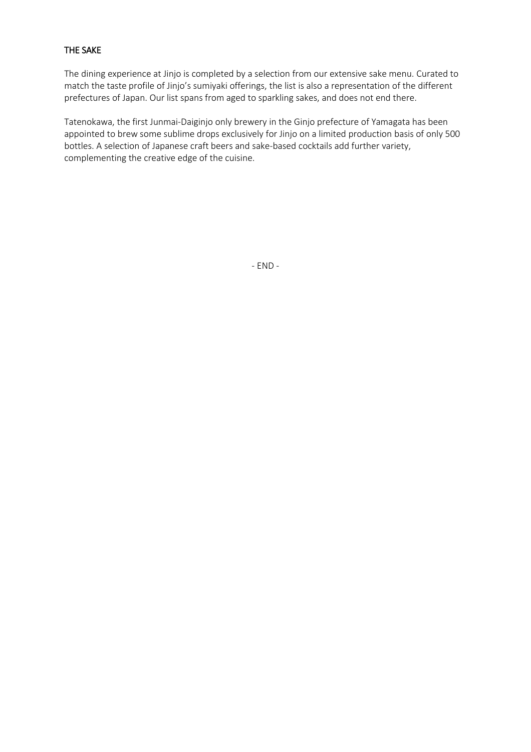# THE SAKE

The dining experience at Jinjo is completed by a selection from our extensive sake menu. Curated to match the taste profile of Jinjo's sumiyaki offerings, the list is also a representation of the different prefectures of Japan. Our list spans from aged to sparkling sakes, and does not end there.

Tatenokawa, the first Junmai-Daiginjo only brewery in the Ginjo prefecture of Yamagata has been appointed to brew some sublime drops exclusively for Jinjo on a limited production basis of only 500 bottles. A selection of Japanese craft beers and sake-based cocktails add further variety, complementing the creative edge of the cuisine.

- END -